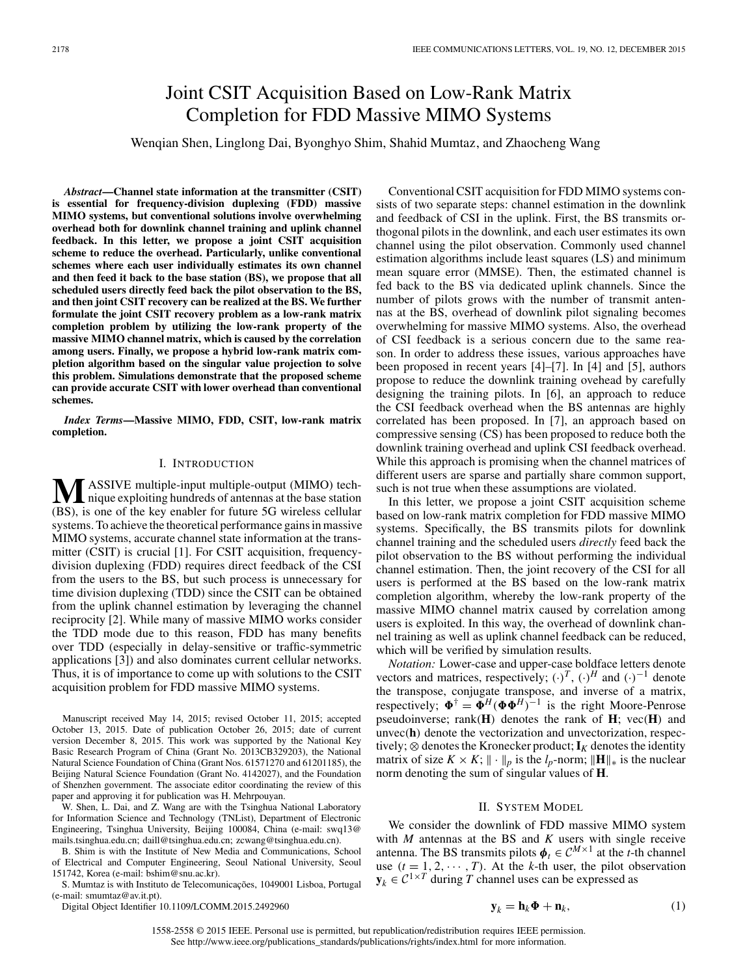# Joint CSIT Acquisition Based on Low-Rank Matrix Completion for FDD Massive MIMO Systems

# Wenqian Shen, Linglong Dai, Byonghyo Shim, Shahid Mumtaz, and Zhaocheng Wang

*Abstract***—Channel state information at the transmitter (CSIT) is essential for frequency-division duplexing (FDD) massive MIMO systems, but conventional solutions involve overwhelming overhead both for downlink channel training and uplink channel feedback. In this letter, we propose a joint CSIT acquisition scheme to reduce the overhead. Particularly, unlike conventional schemes where each user individually estimates its own channel and then feed it back to the base station (BS), we propose that all scheduled users directly feed back the pilot observation to the BS, and then joint CSIT recovery can be realized at the BS. We further formulate the joint CSIT recovery problem as a low-rank matrix completion problem by utilizing the low-rank property of the massive MIMO channel matrix, which is caused by the correlation among users. Finally, we propose a hybrid low-rank matrix completion algorithm based on the singular value projection to solve this problem. Simulations demonstrate that the proposed scheme can provide accurate CSIT with lower overhead than conventional schemes.**

*Index Terms***—Massive MIMO, FDD, CSIT, low-rank matrix completion.**

#### I. INTRODUCTION

**M**ASSIVE multiple-input multiple-output (MIMO) tech-<br>nique exploiting hundreds of antennas at the base station (BS), is one of the key enabler for future 5G wireless cellular systems. To achieve the theoretical performance gains in massive MIMO systems, accurate channel state information at the transmitter (CSIT) is crucial [1]. For CSIT acquisition, frequencydivision duplexing (FDD) requires direct feedback of the CSI from the users to the BS, but such process is unnecessary for time division duplexing (TDD) since the CSIT can be obtained from the uplink channel estimation by leveraging the channel reciprocity [2]. While many of massive MIMO works consider the TDD mode due to this reason, FDD has many benefits over TDD (especially in delay-sensitive or traffic-symmetric applications [3]) and also dominates current cellular networks. Thus, it is of importance to come up with solutions to the CSIT acquisition problem for FDD massive MIMO systems.

Manuscript received May 14, 2015; revised October 11, 2015; accepted October 13, 2015. Date of publication October 26, 2015; date of current version December 8, 2015. This work was supported by the National Key Basic Research Program of China (Grant No. 2013CB329203), the National Natural Science Foundation of China (Grant Nos. 61571270 and 61201185), the Beijing Natural Science Foundation (Grant No. 4142027), and the Foundation of Shenzhen government. The associate editor coordinating the review of this paper and approving it for publication was H. Mehrpouyan.

W. Shen, L. Dai, and Z. Wang are with the Tsinghua National Laboratory for Information Science and Technology (TNList), Department of Electronic Engineering, Tsinghua University, Beijing 100084, China (e-mail: swq13@ mails.tsinghua.edu.cn; daill@tsinghua.edu.cn; zcwang@tsinghua.edu.cn).

B. Shim is with the Institute of New Media and Communications, School of Electrical and Computer Engineering, Seoul National University, Seoul 151742, Korea (e-mail: bshim@snu.ac.kr).

S. Mumtaz is with Instituto de Telecomunicações, 1049001 Lisboa, Portugal (e-mail: smumtaz@av.it.pt).

Digital Object Identifier 10.1109/LCOMM.2015.2492960

Conventional CSIT acquisition for FDD MIMO systems consists of two separate steps: channel estimation in the downlink and feedback of CSI in the uplink. First, the BS transmits orthogonal pilots in the downlink, and each user estimates its own channel using the pilot observation. Commonly used channel estimation algorithms include least squares (LS) and minimum mean square error (MMSE). Then, the estimated channel is fed back to the BS via dedicated uplink channels. Since the number of pilots grows with the number of transmit antennas at the BS, overhead of downlink pilot signaling becomes overwhelming for massive MIMO systems. Also, the overhead of CSI feedback is a serious concern due to the same reason. In order to address these issues, various approaches have been proposed in recent years [4]–[7]. In [4] and [5], authors propose to reduce the downlink training ovehead by carefully designing the training pilots. In [6], an approach to reduce the CSI feedback overhead when the BS antennas are highly correlated has been proposed. In [7], an approach based on compressive sensing (CS) has been proposed to reduce both the downlink training overhead and uplink CSI feedback overhead. While this approach is promising when the channel matrices of different users are sparse and partially share common support, such is not true when these assumptions are violated.

In this letter, we propose a joint CSIT acquisition scheme based on low-rank matrix completion for FDD massive MIMO systems. Specifically, the BS transmits pilots for downlink channel training and the scheduled users *directly* feed back the pilot observation to the BS without performing the individual channel estimation. Then, the joint recovery of the CSI for all users is performed at the BS based on the low-rank matrix completion algorithm, whereby the low-rank property of the massive MIMO channel matrix caused by correlation among users is exploited. In this way, the overhead of downlink channel training as well as uplink channel feedback can be reduced, which will be verified by simulation results.

*Notation:* Lower-case and upper-case boldface letters denote vectors and matrices, respectively;  $(\cdot)^T$ ,  $(\cdot)^H$  and  $(\cdot)^{-1}$  denote the transpose, conjugate transpose, and inverse of a matrix, respectively;  $\Phi^{\dagger} = \Phi^H(\Phi \Phi^H)^{-1}$  is the right Moore-Penrose pseudoinverse; rank(**H**) denotes the rank of **H**; vec(**H**) and unvec(**h**) denote the vectorization and unvectorization, respectively;  $\otimes$  denotes the Kronecker product;  $\mathbf{I}_K$  denotes the identity matrix of size  $K \times K$ ;  $\|\cdot\|_p$  is the *l<sub>p</sub>*-norm;  $\|\mathbf{H}\|_*$  is the nuclear norm denoting the sum of singular values of **H**.

## II. SYSTEM MODEL

We consider the downlink of FDD massive MIMO system with *M* antennas at the BS and *K* users with single receive antenna. The BS transmits pilots  $\boldsymbol{\phi}_t \in C^{M \times 1}$  at the *t*-th channel use  $(t = 1, 2, \dots, T)$ . At the *k*-th user, the pilot observation  $\mathbf{y}_k \in C^{1 \times T}$  during *T* channel uses can be expressed as

$$
\mathbf{y}_k = \mathbf{h}_k \mathbf{\Phi} + \mathbf{n}_k, \tag{1}
$$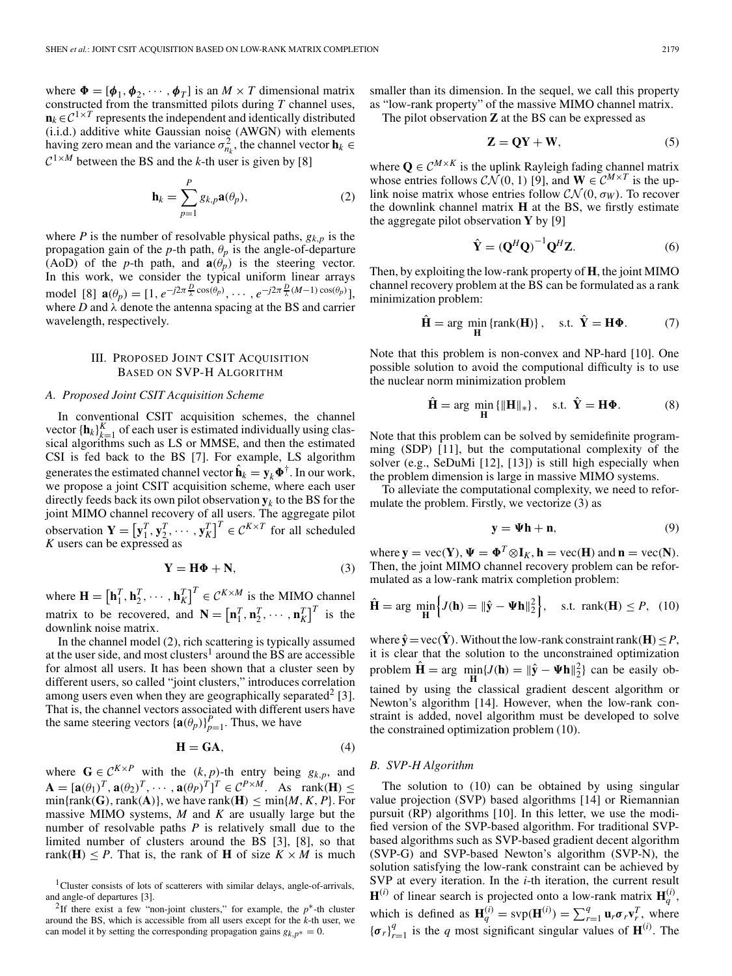where  $\Phi = [\phi_1, \phi_2, \cdots, \phi_T]$  is an  $M \times T$  dimensional matrix constructed from the transmitted pilots during *T* channel uses,  $\mathbf{n}_k \in \mathcal{C}^{1 \times T}$  represents the independent and identically distributed (i.i.d.) additive white Gaussian noise (AWGN) with elements having zero mean and the variance  $\sigma_{n_k}^2$ , the channel vector  $\mathbf{h}_k \in$  $C^{1 \times M}$  between the BS and the *k*-th user is given by [8]

$$
\mathbf{h}_{k} = \sum_{p=1}^{P} g_{k,p} \mathbf{a}(\theta_{p}), \qquad (2)
$$

where *P* is the number of resolvable physical paths,  $g_{k,p}$  is the propagation gain of the  $p$ -th path,  $\theta_p$  is the angle-of-departure (AoD) of the *p*-th path, and  $\mathbf{a}(\theta_p)$  is the steering vector. In this work, we consider the typical uniform linear arrays model [8]  $\mathbf{a}(\theta_p) = [1, e^{-j2\pi \frac{D}{\lambda} \cos(\theta_p)}, \cdots, e^{-j2\pi \frac{D}{\lambda}(M-1)\cos(\theta_p)}],$ where  $D$  and  $\lambda$  denote the antenna spacing at the BS and carrier wavelength, respectively.

# III. PROPOSED JOINT CSIT ACQUISITION BASED ON SVP-H ALGORITHM

#### *A. Proposed Joint CSIT Acquisition Scheme*

In conventional CSIT acquisition schemes, the channel vector  ${\{\mathbf h_k\}}_{k=1}^K$  of each user is estimated individually using classical algorithms such as LS or MMSE, and then the estimated CSI is fed back to the BS [7]. For example, LS algorithm generates the estimated channel vector  $\hat{\mathbf{h}}_k = \mathbf{y}_k \mathbf{\Phi}^\dagger$  . In our work, we propose a joint CSIT acquisition scheme, where each user directly feeds back its own pilot observation  $y_k$  to the BS for the joint MIMO channel recovery of all users. The aggregate pilot observation  $\mathbf{Y} = [\mathbf{y}_1^T, \mathbf{y}_2^T, \cdots, \mathbf{y}_K^T]^T \in \mathcal{C}^{K \times T}$  for all scheduled *K* users can be expressed as

$$
Y = H\Phi + N,\tag{3}
$$

where  $\mathbf{H} = \left[\mathbf{h}_1^T, \mathbf{h}_2^T, \cdots, \mathbf{h}_K^T\right]^T \in \mathcal{C}^{K \times M}$  is the MIMO channel matrix to be recovered, and  $\mathbf{N} = [\mathbf{n}_1^T, \mathbf{n}_2^T, \cdots, \mathbf{n}_K^T]^T$  is the downlink noise matrix.

In the channel model (2), rich scattering is typically assumed at the user side, and most clusters<sup>1</sup> around the BS are accessible for almost all users. It has been shown that a cluster seen by different users, so called "joint clusters," introduces correlation among users even when they are geographically separated<sup>2</sup> [3]. That is, the channel vectors associated with different users have the same steering vectors  ${\{\mathbf{a}(\theta_p)\}}_{p=1}^P$ . Thus, we have

$$
\mathbf{H} = \mathbf{G}\mathbf{A},\tag{4}
$$

where  $\mathbf{G} \in \mathcal{C}^{K \times P}$  with the  $(k, p)$ -th entry being  $g_{k, p}$ , and  $\mathbf{A} = [\mathbf{a}(\theta_1)^T, \mathbf{a}(\theta_2)^T, \cdots, \mathbf{a}(\theta_P)^T]^T \in \mathcal{C}^{P \times M}$ . As rank(**H**)  $\leq$  $min\{rank(G), rank(A)\}\$ , we have  $rank(\mathbf{H}) \leq min\{M, K, P\}$ . For massive MIMO systems, *M* and *K* are usually large but the number of resolvable paths *P* is relatively small due to the limited number of clusters around the BS [3], [8], so that rank( $H$ )  $\leq P$ . That is, the rank of H of size  $K \times M$  is much

<sup>1</sup>Cluster consists of lots of scatterers with similar delays, angle-of-arrivals, and angle-of departures [3].

2If there exist a few "non-joint clusters," for example, the *p*∗-th cluster around the BS, which is accessible from all users except for the *k*-th user, we can model it by setting the corresponding propagation gains  $g_{k,p^*} = 0$ .

smaller than its dimension. In the sequel, we call this property as "low-rank property" of the massive MIMO channel matrix.

The pilot observation **Z** at the BS can be expressed as

$$
Z = QY + W, \tag{5}
$$

where  $\mathbf{Q} \in \mathcal{C}^{M \times K}$  is the uplink Rayleigh fading channel matrix whose entries follows  $\mathcal{CN}(0, 1)$  [9], and  $\mathbf{W} \in \mathcal{C}^{M \times T}$  is the uplink noise matrix whose entries follow  $CN(0, \sigma_W)$ . To recover the downlink channel matrix **H** at the BS, we firstly estimate the aggregate pilot observation **Y** by [9]

$$
\hat{\mathbf{Y}} = \left(\mathbf{Q}^H \mathbf{Q}\right)^{-1} \mathbf{Q}^H \mathbf{Z}.
$$
 (6)

Then, by exploiting the low-rank property of **H**, the joint MIMO channel recovery problem at the BS can be formulated as a rank minimization problem:

$$
\hat{\mathbf{H}} = \arg \min_{\mathbf{H}} \{ \text{rank}(\mathbf{H}) \}, \quad \text{s.t.} \ \hat{\mathbf{Y}} = \mathbf{H} \mathbf{\Phi}. \tag{7}
$$

Note that this problem is non-convex and NP-hard [10]. One possible solution to avoid the computional difficulty is to use the nuclear norm minimization problem

$$
\hat{\mathbf{H}} = \arg \min_{\mathbf{H}} \{ \|\mathbf{H}\|_{*} \}, \quad \text{s.t.} \ \hat{\mathbf{Y}} = \mathbf{H}\mathbf{\Phi}.
$$
 (8)

Note that this problem can be solved by semidefinite programming (SDP) [11], but the computational complexity of the solver (e.g., SeDuMi [12], [13]) is still high especially when the problem dimension is large in massive MIMO systems.

To alleviate the computational complexity, we need to reformulate the problem. Firstly, we vectorize (3) as

$$
y = \Psi h + n,\tag{9}
$$

 $\mathbf{w} = \mathbf{v} \cdot \mathbf{c} = \mathbf{v} \cdot \mathbf{v} \cdot \mathbf{v} = \mathbf{v} \cdot \mathbf{v} \cdot \mathbf{v} = \mathbf{v} \cdot \mathbf{v} \cdot \mathbf{v} = \mathbf{v} \cdot \mathbf{v} \cdot \mathbf{v} = \mathbf{v} \cdot \mathbf{v} \cdot \mathbf{v}$ . Then, the joint MIMO channel recovery problem can be reformulated as a low-rank matrix completion problem:

$$
\hat{\mathbf{H}} = \arg \min_{\mathbf{H}} \left\{ J(\mathbf{h}) = \|\hat{\mathbf{y}} - \boldsymbol{\Psi}\mathbf{h}\|_2^2 \right\}, \quad \text{s.t. } \text{rank}(\mathbf{H}) \le P, \tag{10}
$$

where  $\hat{\mathbf{y}} = \text{vec}(\hat{\mathbf{Y}})$ . Without the low-rank constraint rank( $\mathbf{H}$ ) < *P*, it is clear that the solution to the unconstrained optimization problem  $\hat{\mathbf{H}} = \arg \min_{\mathbf{H}} \{ J(\mathbf{h}) = ||\hat{\mathbf{y}} - \mathbf{\Psi} \mathbf{h}||_2^2 \}$  can be easily obtained by using the classical gradient descent algorithm or Newton's algorithm [14]. However, when the low-rank constraint is added, novel algorithm must be developed to solve the constrained optimization problem (10).

### *B. SVP-H Algorithm*

The solution to (10) can be obtained by using singular value projection (SVP) based algorithms [14] or Riemannian pursuit (RP) algorithms [10]. In this letter, we use the modified version of the SVP-based algorithm. For traditional SVPbased algorithms such as SVP-based gradient decent algorithm (SVP-G) and SVP-based Newton's algorithm (SVP-N), the solution satisfying the low-rank constraint can be achieved by SVP at every iteration. In the *i*-th iteration, the current result  $\mathbf{H}^{(i)}$  of linear search is projected onto a low-rank matrix  $\mathbf{H}_q^{(i)}$ , which is defined as  $\mathbf{H}_q^{(i)} = \text{sup}(\mathbf{H}^{(i)}) = \sum_{r=1}^q \mathbf{u}_r \sigma_r \mathbf{v}_r^T$ , where  ${\{\sigma_r\}}_{r=1}^q$  is the *q* most significant singular values of **H**<sup>(*i*</sup>). The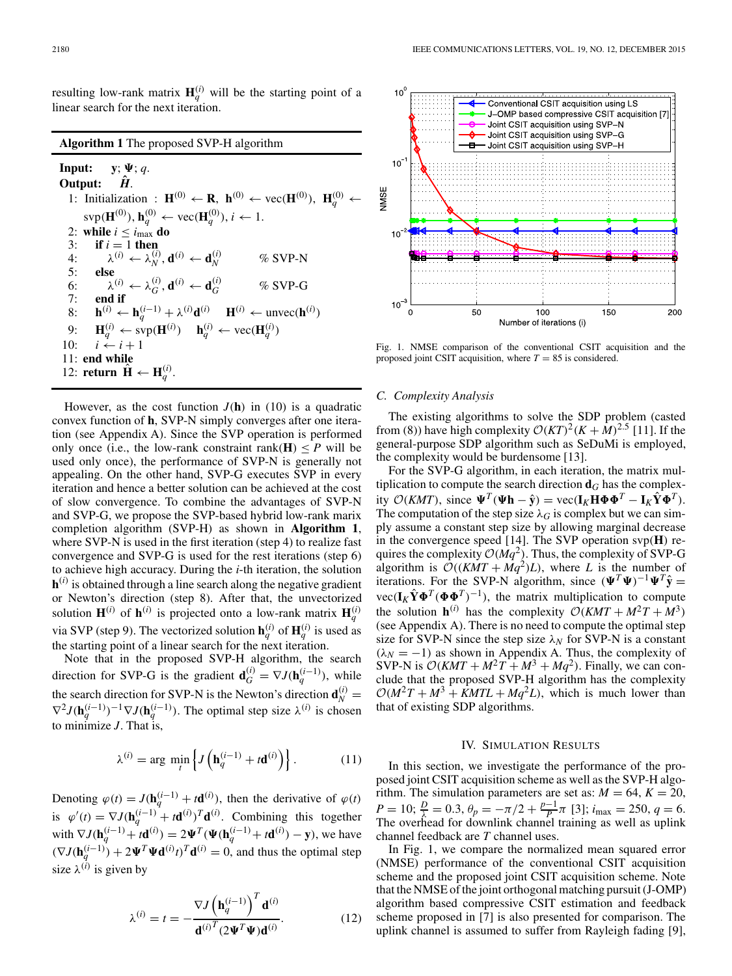resulting low-rank matrix  $\mathbf{H}_q^{(i)}$  will be the starting point of a linear search for the next iteration.

## **Algorithm 1** The proposed SVP-H algorithm

**Input:**  $y$ ;  $\Psi$ ; *q*. Output:  $\hat{H}$ . 1: Initialization :  $\mathbf{H}^{(0)} \leftarrow \mathbf{R}$ ,  $\mathbf{h}^{(0)} \leftarrow \text{vec}(\mathbf{H}^{(0)})$ ,  $\mathbf{H}_q^{(0)} \leftarrow$  $\text{sup}(\mathbf{H}^{(0)}), \mathbf{h}_q^{(0)} \leftarrow \text{vec}(\mathbf{H}_q^{(0)}), i \leftarrow 1.$ 2: **while**  $i \leq i_{\text{max}}$  **do** 3: **if**  $i = 1$  **then** 4:  $\lambda^{(i)} \leftarrow \lambda^{(i)}_N, \mathbf{d}^{(i)} \leftarrow \mathbf{d}_N^{(i)}$ *<sup>N</sup>* % SVP-N 5: **else**<br>
6:  $\lambda^{(i)} \leftarrow \lambda^{(i)}_G, \mathbf{d}^{(i)} \leftarrow \mathbf{d}_G^{(i)}$  $\%$  SVP-G 7: **end if** 8: **h**<sup>(*i*)</sup> ← **h**<sub>*q*</sub><sup>(*i*</sup>) +  $\lambda$ <sup>(*i*)</sup>**d**<sup>(*i*)</sup> **H**<sup>(*i*)</sup> ← unvec(**h**<sup>(*i*)</sup>) 9:  $\mathbf{H}_q^{(i)} \leftarrow \text{sup}(\mathbf{H}^{(i)}) \quad \mathbf{h}_q^{(i)} \leftarrow \text{vec}(\mathbf{H}_q^{(i)})$ 10:  $i \stackrel{i}{\leftarrow} i + 1$ 11: **end while** 12: **return**  $\hat{\mathbf{H}} \leftarrow \mathbf{H}_q^{(i)}$ .

However, as the cost function  $J(h)$  in (10) is a quadratic convex function of **h**, SVP-N simply converges after one iteration (see Appendix A). Since the SVP operation is performed only once (i.e., the low-rank constraint rank( $H$ )  $\leq P$  will be used only once), the performance of SVP-N is generally not appealing. On the other hand, SVP-G executes SVP in every iteration and hence a better solution can be achieved at the cost of slow convergence. To combine the advantages of SVP-N and SVP-G, we propose the SVP-based hybrid low-rank marix completion algorithm (SVP-H) as shown in **Algorithm 1**, where SVP-N is used in the first iteration (step 4) to realize fast convergence and SVP-G is used for the rest iterations (step 6) to achieve high accuracy. During the *i*-th iteration, the solution  $h^{(i)}$  is obtained through a line search along the negative gradient or Newton's direction (step 8). After that, the unvectorized solution  $\mathbf{H}^{(i)}$  of  $\mathbf{h}^{(i)}$  is projected onto a low-rank matrix  $\mathbf{H}_q^{(i)}$ via SVP (step 9). The vectorized solution  $\mathbf{h}_q^{(i)}$  of  $\mathbf{H}_q^{(i)}$  is used as the starting point of a linear search for the next iteration.

Note that in the proposed SVP-H algorithm, the search direction for SVP-G is the gradient  $\mathbf{d}_G^{(i)} = \nabla J(\mathbf{h}_q^{(i-1)})$ , while the search direction for SVP-N is the Newton's direction  $\mathbf{d}_N^{(i)} =$  $\nabla^2 J(\mathbf{h}_q^{(i-1)})^{-1} \nabla J(\mathbf{h}_q^{(i-1)})$ . The optimal step size  $\lambda^{(i)}$  is chosen to minimize *J*. That is,

$$
\lambda^{(i)} = \arg\,\min_{t} \left\{ J\left(\mathbf{h}_q^{(i-1)} + t\mathbf{d}^{(i)}\right) \right\}.
$$
 (11)

Denoting  $\varphi(t) = J(\mathbf{h}_q^{(i-1)} + t\mathbf{d}^{(i)})$ , then the derivative of  $\varphi(t)$ is  $\varphi'(t) = \nabla J(\mathbf{h}_q^{(i-1)} + t\mathbf{d}^{(i)})^T \mathbf{d}^{(i)}$ . Combining this together with  $\nabla J(\mathbf{h}_q^{(i-1)} + t\mathbf{d}^{(i)}) = 2\Psi^T(\Psi(\mathbf{h}_q^{(i-1)} + t\mathbf{d}^{(i)}) - \mathbf{y})$ , we have  $(\nabla J(\mathbf{h}_q^{(i-1)}) + 2\Psi^T \Psi \mathbf{d}^{(i)} t^T \mathbf{d}^{(i)} = 0$ , and thus the optimal step size  $\lambda^{(\hat{i})}$  is given by

$$
\lambda^{(i)} = t = -\frac{\nabla J \left(\mathbf{h}_q^{(i-1)}\right)^T \mathbf{d}^{(i)}}{\mathbf{d}^{(i)T} (2\boldsymbol{\Psi}^T \boldsymbol{\Psi}) \mathbf{d}^{(i)}}.
$$
(12)



Fig. 1. NMSE comparison of the conventional CSIT acquisition and the proposed joint CSIT acquisition, where  $T = 85$  is considered.

#### *C. Complexity Analysis*

The existing algorithms to solve the SDP problem (casted from (8)) have high complexity  $O(KT)^{2}(K + M)^{2.5}$  [11]. If the general-purpose SDP algorithm such as SeDuMi is employed, the complexity would be burdensome [13].

For the SVP-G algorithm, in each iteration, the matrix multiplication to compute the search direction  $\mathbf{d}_G$  has the complex- $\mathbf{W}^T(\mathbf{W}\mathbf{h} - \hat{\mathbf{y}}) = \text{vec}(\mathbf{I}_K\mathbf{H}\mathbf{\Phi}\mathbf{\Phi}^T - \mathbf{I}_K\hat{\mathbf{Y}}\mathbf{\Phi}^T).$ The computation of the step size  $\lambda_G$  is complex but we can simply assume a constant step size by allowing marginal decrease in the convergence speed [14]. The SVP operation svp(**H**) requires the complexity  $O(Mq^2)$ . Thus, the complexity of SVP-G algorithm is  $O((KMT + Mq^2)L)$ , where *L* is the number of iterations. For the SVP-N algorithm, since  $(\Psi^T \Psi)^{-1} \Psi^T \hat{y} =$  $\text{vec}(\mathbf{I}_K \hat{\mathbf{Y}} \mathbf{\Phi}^T (\mathbf{\Phi} \mathbf{\Phi}^T)^{-1})$ , the matrix multiplication to compute the solution  $h^{(i)}$  has the complexity  $O(KMT + M^2T + M^3)$ (see Appendix A). There is no need to compute the optimal step size for SVP-N since the step size  $\lambda_N$  for SVP-N is a constant  $(\lambda_N = -1)$  as shown in Appendix A. Thus, the complexity of SVP-N is  $O(KMT + M^2T + M^3 + Mq^2)$ . Finally, we can conclude that the proposed SVP-H algorithm has the complexity  $O(M^2T + M^3 + KMTL + Mq^2L)$ , which is much lower than that of existing SDP algorithms.

#### IV. SIMULATION RESULTS

In this section, we investigate the performance of the proposed joint CSIT acquisition scheme as well as the SVP-H algorithm. The simulation parameters are set as:  $M = 64$ ,  $K = 20$ ,  $P = 10; \frac{D}{\lambda} = 0.3, \theta_p = -\pi/2 + \frac{p-1}{P} \pi$  [3];  $i_{\text{max}} = 250, q = 6.$ The overhead for downlink channel training as well as uplink channel feedback are *T* channel uses.

In Fig. 1, we compare the normalized mean squared error (NMSE) performance of the conventional CSIT acquisition scheme and the proposed joint CSIT acquisition scheme. Note that the NMSE of the joint orthogonal matching pursuit (J-OMP) algorithm based compressive CSIT estimation and feedback scheme proposed in [7] is also presented for comparison. The uplink channel is assumed to suffer from Rayleigh fading [9],